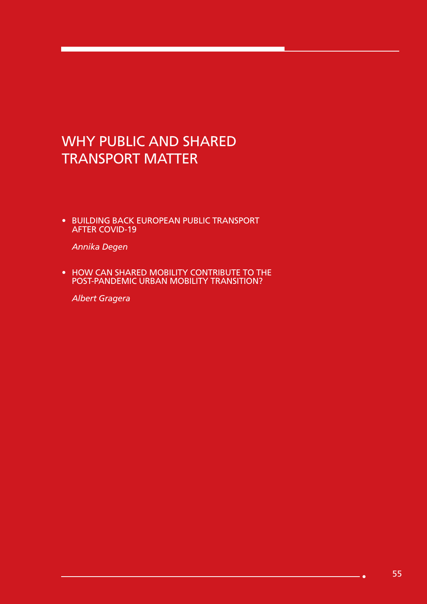# WHY PUBLIC AND SHARED TRANSPORT MATTER

• BUILDING BACK EUROPEAN PUBLIC TRANSPORT AFTER COVID-19

*Annika Degen*

• HOW CAN SHARED MOBILITY CONTRIBUTE TO THE POST-PANDEMIC URBAN MOBILITY TRANSITION?

*Albert Gragera*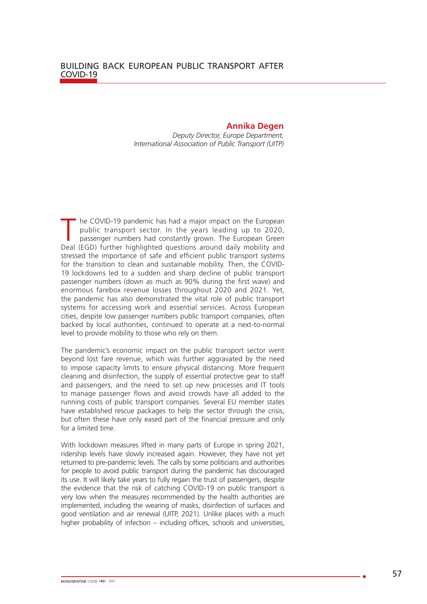#### **Annika Degen**

*Deputy Director, Europe Department, International Association of Public Transport (UITP)*

T he COVID-19 pandemic has had a major impact on the European<br>
public transport sector. In the years leading up to 2020,<br>
passenger numbers had constantly grown. The European Green<br>
Deal (EGD) further highlighted questions public transport sector. In the years leading up to 2020, Deal (EGD) further highlighted questions around daily mobility and stressed the importance of safe and efficient public transport systems for the transition to clean and sustainable mobility. Then, the COVID-19 lockdowns led to a sudden and sharp decline of public transport passenger numbers (down as much as 90% during the first wave) and enormous farebox revenue losses throughout 2020 and 2021. Yet, the pandemic has also demonstrated the vital role of public transport systems for accessing work and essential services. Across European cities, despite low passenger numbers public transport companies, often backed by local authorities, continued to operate at a next-to-normal level to provide mobility to those who rely on them.

The pandemic's economic impact on the public transport sector went beyond lost fare revenue, which was further aggravated by the need to impose capacity limits to ensure physical distancing. More frequent cleaning and disinfection, the supply of essential protective gear to staff and passengers, and the need to set up new processes and IT tools to manage passenger flows and avoid crowds have all added to the running costs of public transport companies. Several EU member states have established rescue packages to help the sector through the crisis, but often these have only eased part of the financial pressure and only for a limited time.

With lockdown measures lifted in many parts of Europe in spring 2021, ridership levels have slowly increased again. However, they have not yet returned to pre-pandemic levels. The calls by some politicians and authorities for people to avoid public transport during the pandemic has discouraged its use. It will likely take years to fully regain the trust of passengers, despite the evidence that the risk of catching COVID-19 on public transport is very low when the measures recommended by the health authorities are implemented, including the wearing of masks, disinfection of surfaces and good ventilation and air renewal (UITP, 2021). Unlike places with a much higher probability of infection – including offices, schools and universities,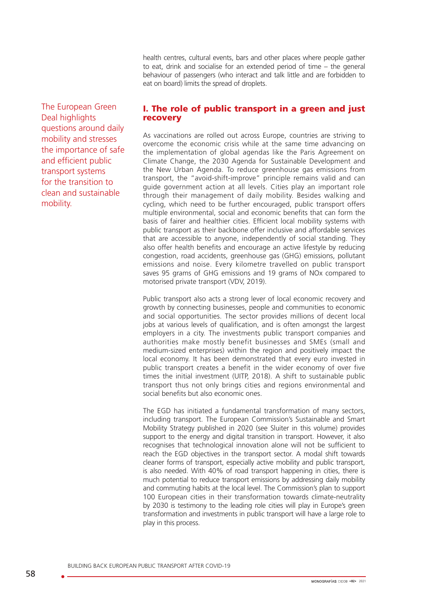health centres, cultural events, bars and other places where people gather to eat, drink and socialise for an extended period of time – the general behaviour of passengers (who interact and talk little and are forbidden to eat on board) limits the spread of droplets.

The European Green Deal highlights questions around daily mobility and stresses the importance of safe and efficient public transport systems for the transition to clean and sustainable mobility.

### I. The role of public transport in a green and just recovery

As vaccinations are rolled out across Europe, countries are striving to overcome the economic crisis while at the same time advancing on the implementation of global agendas like the Paris Agreement on Climate Change, the 2030 Agenda for Sustainable Development and the New Urban Agenda. To reduce greenhouse gas emissions from transport, the "avoid-shift-improve" principle remains valid and can guide government action at all levels. Cities play an important role through their management of daily mobility. Besides walking and cycling, which need to be further encouraged, public transport offers multiple environmental, social and economic benefits that can form the basis of fairer and healthier cities. Efficient local mobility systems with public transport as their backbone offer inclusive and affordable services that are accessible to anyone, independently of social standing. They also offer health benefits and encourage an active lifestyle by reducing congestion, road accidents, greenhouse gas (GHG) emissions, pollutant emissions and noise. Every kilometre travelled on public transport saves 95 grams of GHG emissions and 19 grams of NOx compared to motorised private transport (VDV, 2019).

Public transport also acts a strong lever of local economic recovery and growth by connecting businesses, people and communities to economic and social opportunities. The sector provides millions of decent local jobs at various levels of qualification, and is often amongst the largest employers in a city. The investments public transport companies and authorities make mostly benefit businesses and SMEs (small and medium-sized enterprises) within the region and positively impact the local economy. It has been demonstrated that every euro invested in public transport creates a benefit in the wider economy of over five times the initial investment (UITP, 2018). A shift to sustainable public transport thus not only brings cities and regions environmental and social benefits but also economic ones.

The EGD has initiated a fundamental transformation of many sectors, including transport. The European Commission's Sustainable and Smart Mobility Strategy published in 2020 (see Sluiter in this volume) provides support to the energy and digital transition in transport. However, it also recognises that technological innovation alone will not be sufficient to reach the EGD objectives in the transport sector. A modal shift towards cleaner forms of transport, especially active mobility and public transport, is also needed. With 40% of road transport happening in cities, there is much potential to reduce transport emissions by addressing daily mobility and commuting habits at the local level. The Commission's plan to support 100 European cities in their transformation towards climate-neutrality by 2030 is testimony to the leading role cities will play in Europe's green transformation and investments in public transport will have a large role to play in this process.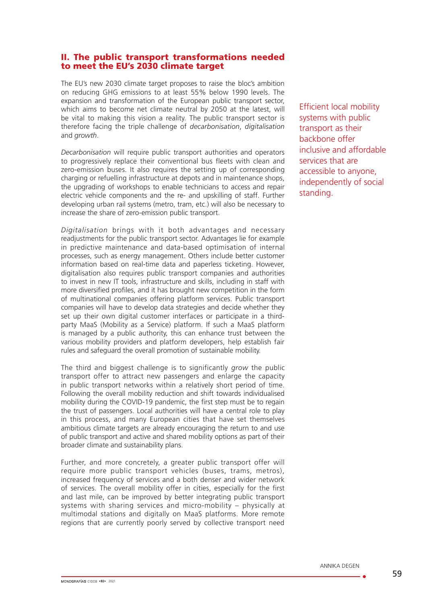#### II. The public transport transformations needed to meet the EU's 2030 climate target

The EU's new 2030 climate target proposes to raise the bloc's ambition on reducing GHG emissions to at least 55% below 1990 levels. The expansion and transformation of the European public transport sector, which aims to become net climate neutral by 2050 at the latest, will be vital to making this vision a reality. The public transport sector is therefore facing the triple challenge of *decarbonisation*, *digitalisation* and *growth*.

*Decarbonisation* will require public transport authorities and operators to progressively replace their conventional bus fleets with clean and zero-emission buses. It also requires the setting up of corresponding charging or refuelling infrastructure at depots and in maintenance shops, the upgrading of workshops to enable technicians to access and repair electric vehicle components and the re- and upskilling of staff. Further developing urban rail systems (metro, tram, etc.) will also be necessary to increase the share of zero-emission public transport.

*Digitalisation* brings with it both advantages and necessary readjustments for the public transport sector. Advantages lie for example in predictive maintenance and data-based optimisation of internal processes, such as energy management. Others include better customer information based on real-time data and paperless ticketing. However, digitalisation also requires public transport companies and authorities to invest in new IT tools, infrastructure and skills, including in staff with more diversified profiles, and it has brought new competition in the form of multinational companies offering platform services. Public transport companies will have to develop data strategies and decide whether they set up their own digital customer interfaces or participate in a thirdparty MaaS (Mobility as a Service) platform. If such a MaaS platform is managed by a public authority, this can enhance trust between the various mobility providers and platform developers, help establish fair rules and safeguard the overall promotion of sustainable mobility.

The third and biggest challenge is to significantly *grow* the public transport offer to attract new passengers and enlarge the capacity in public transport networks within a relatively short period of time. Following the overall mobility reduction and shift towards individualised mobility during the COVID-19 pandemic, the first step must be to regain the trust of passengers. Local authorities will have a central role to play in this process, and many European cities that have set themselves ambitious climate targets are already encouraging the return to and use of public transport and active and shared mobility options as part of their broader climate and sustainability plans.

Further, and more concretely, a greater public transport offer will require more public transport vehicles (buses, trams, metros), increased frequency of services and a both denser and wider network of services. The overall mobility offer in cities, especially for the first and last mile, can be improved by better integrating public transport systems with sharing services and micro-mobility – physically at multimodal stations and digitally on MaaS platforms. More remote regions that are currently poorly served by collective transport need

Efficient local mobility systems with public transport as their backbone offer inclusive and affordable services that are accessible to anyone, independently of social standing.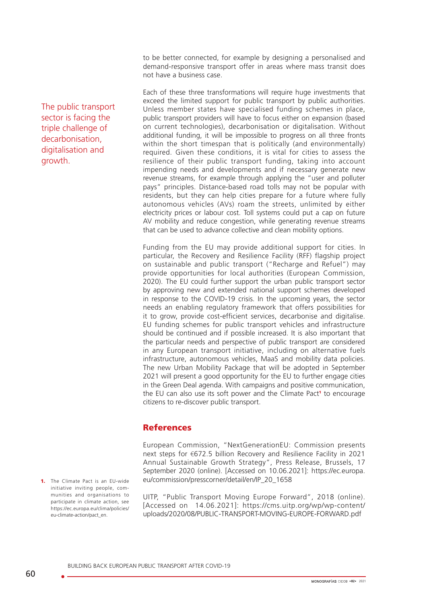to be better connected, for example by designing a personalised and demand-responsive transport offer in areas where mass transit does not have a business case.

Each of these three transformations will require huge investments that exceed the limited support for public transport by public authorities. Unless member states have specialised funding schemes in place, public transport providers will have to focus either on expansion (based on current technologies), decarbonisation or digitalisation. Without additional funding, it will be impossible to progress on all three fronts within the short timespan that is politically (and environmentally) required. Given these conditions, it is vital for cities to assess the resilience of their public transport funding, taking into account impending needs and developments and if necessary generate new revenue streams, for example through applying the "user and polluter pays" principles. Distance-based road tolls may not be popular with residents, but they can help cities prepare for a future where fully autonomous vehicles (AVs) roam the streets, unlimited by either electricity prices or labour cost. Toll systems could put a cap on future AV mobility and reduce congestion, while generating revenue streams that can be used to advance collective and clean mobility options.

Funding from the EU may provide additional support for cities. In particular, the Recovery and Resilience Facility (RFF) flagship project on sustainable and public transport ("Recharge and Refuel") may provide opportunities for local authorities (European Commission, 2020). The EU could further support the urban public transport sector by approving new and extended national support schemes developed in response to the COVID-19 crisis. In the upcoming years, the sector needs an enabling regulatory framework that offers possibilities for it to grow, provide cost-efficient services, decarbonise and digitalise. EU funding schemes for public transport vehicles and infrastructure should be continued and if possible increased. It is also important that the particular needs and perspective of public transport are considered in any European transport initiative, including on alternative fuels infrastructure, autonomous vehicles, MaaS and mobility data policies. The new Urban Mobility Package that will be adopted in September 2021 will present a good opportunity for the EU to further engage cities in the Green Deal agenda. With campaigns and positive communication, the EU can also use its soft power and the Climate Pact<sup>1</sup> to encourage citizens to re-discover public transport.

## References

European Commission, "NextGenerationEU: Commission presents next steps for €672.5 billion Recovery and Resilience Facility in 2021 Annual Sustainable Growth Strategy", Press Release, Brussels, 17 September 2020 (online). [Accessed on 10.06.2021]: [https://ec.europa.](https://ec.europa.eu/commission/presscorner/detail/en/IP_20_1658) [eu/commission/presscorner/detail/en/IP\\_20\\_1658](https://ec.europa.eu/commission/presscorner/detail/en/IP_20_1658)

UITP, "Public Transport Moving Europe Forward", 2018 (online). [Accessed on 14.06.2021]: [https://cms.uitp.org/wp/wp-content/](https://cms.uitp.org/wp/wp-content/uploads/2020/08/PUBLIC-TRANSPORT-MOVING-EUROPE-FORWARD.pdf) [uploads/2020/08/PUBLIC-TRANSPORT-MOVING-EUROPE-FORWARD.pdf](https://cms.uitp.org/wp/wp-content/uploads/2020/08/PUBLIC-TRANSPORT-MOVING-EUROPE-FORWARD.pdf)

The public transport sector is facing the triple challenge of decarbonisation, digitalisation and growth.

1. The Climate Pact is an EU-wide initiative inviting people, communities and organisations to participate in climate action, see https://ec.europa.eu/clima/policies/ eu-climate-action/pact\_en.